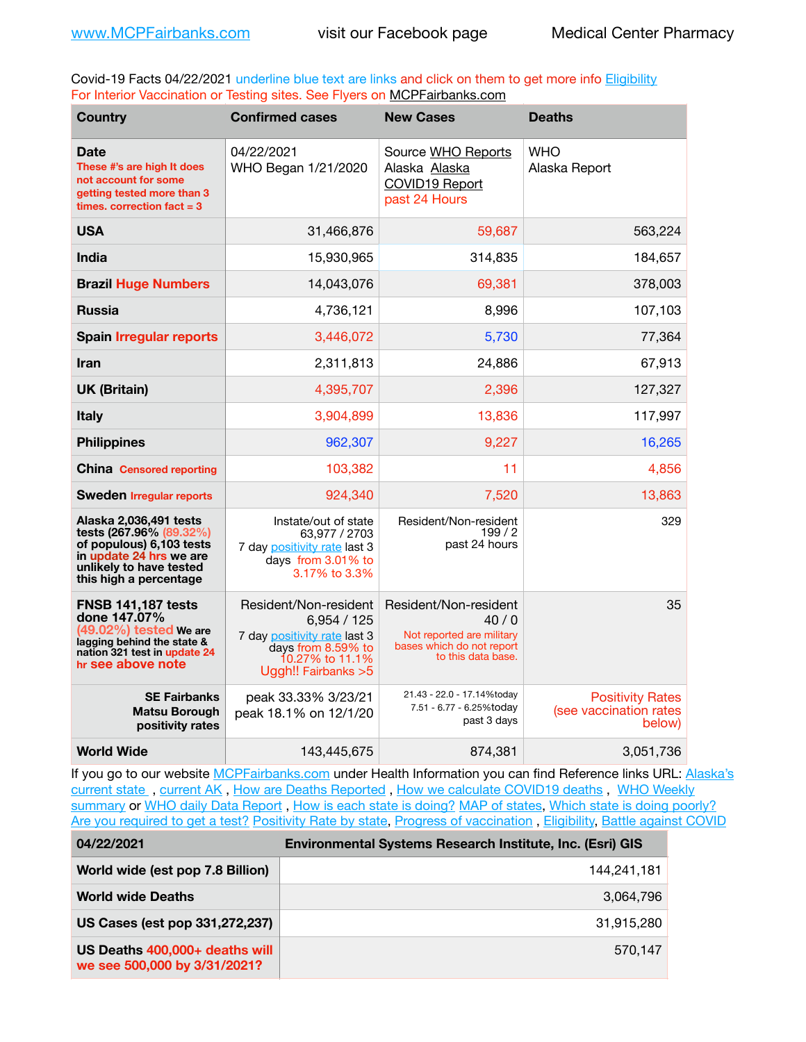Covid-19 Facts 04/22/2021 underline blue text are links and click on them to get more info **Eligibility** For Interior Vaccination or Testing sites. See Flyers on [MCPFairbanks.com](http://www.MCPFairbanks.com)

| <b>Country</b>                                                                                                                                                | <b>Confirmed cases</b>                                                                                                              | <b>New Cases</b>                                                                                              | <b>Deaths</b>                                               |
|---------------------------------------------------------------------------------------------------------------------------------------------------------------|-------------------------------------------------------------------------------------------------------------------------------------|---------------------------------------------------------------------------------------------------------------|-------------------------------------------------------------|
| <b>Date</b><br>These #'s are high It does<br>not account for some<br>getting tested more than 3<br>times, correction fact $= 3$                               | 04/22/2021<br>WHO Began 1/21/2020                                                                                                   | Source WHO Reports<br>Alaska Alaska<br>COVID19 Report<br>past 24 Hours                                        | WHO<br>Alaska Report                                        |
| <b>USA</b>                                                                                                                                                    | 31,466,876                                                                                                                          | 59,687                                                                                                        | 563,224                                                     |
| <b>India</b>                                                                                                                                                  | 15,930,965                                                                                                                          | 314,835                                                                                                       | 184,657                                                     |
| <b>Brazil Huge Numbers</b>                                                                                                                                    | 14,043,076                                                                                                                          | 69,381                                                                                                        | 378,003                                                     |
| <b>Russia</b>                                                                                                                                                 | 4,736,121                                                                                                                           | 8,996                                                                                                         | 107,103                                                     |
| <b>Spain Irregular reports</b>                                                                                                                                | 3,446,072                                                                                                                           | 5,730                                                                                                         | 77,364                                                      |
| Iran                                                                                                                                                          | 2,311,813                                                                                                                           | 24,886                                                                                                        | 67,913                                                      |
| <b>UK (Britain)</b>                                                                                                                                           | 4,395,707                                                                                                                           | 2,396                                                                                                         | 127,327                                                     |
| <b>Italy</b>                                                                                                                                                  | 3,904,899                                                                                                                           | 13,836                                                                                                        | 117,997                                                     |
| <b>Philippines</b>                                                                                                                                            | 962,307                                                                                                                             | 9,227                                                                                                         | 16,265                                                      |
| <b>China</b> Censored reporting                                                                                                                               | 103,382                                                                                                                             | 11                                                                                                            | 4.856                                                       |
| <b>Sweden Irregular reports</b>                                                                                                                               | 924.340                                                                                                                             | 7,520                                                                                                         | 13,863                                                      |
| Alaska 2,036,491 tests<br>tests (267.96% (89.32%)<br>of populous) 6,103 tests<br>in update 24 hrs we are<br>unlikely to have tested<br>this high a percentage | Instate/out of state<br>63,977 / 2703<br>7 day positivity rate last 3<br>days from 3.01% to<br>3.17% to 3.3%                        | Resident/Non-resident<br>199/2<br>past 24 hours                                                               | 329                                                         |
| <b>FNSB 141,187 tests</b><br>done 147.07%<br>(49.02%) tested We are<br>lagging behind the state &<br>nation 321 test in update 24<br>hr see above note        | Resident/Non-resident<br>6,954/125<br>7 day positivity rate last 3<br>days from 8.59% to<br>10.27% to 11.1%<br>Ugah!! Fairbanks > 5 | Resident/Non-resident<br>40/0<br>Not reported are military<br>bases which do not report<br>to this data base. | 35                                                          |
| <b>SE Fairbanks</b><br><b>Matsu Borough</b><br>positivity rates                                                                                               | peak 33.33% 3/23/21<br>peak 18.1% on 12/1/20                                                                                        | 21.43 - 22.0 - 17.14%today<br>7.51 - 6.77 - 6.25%today<br>past 3 days                                         | <b>Positivity Rates</b><br>(see vaccination rates<br>below) |
| <b>World Wide</b>                                                                                                                                             | 143,445,675                                                                                                                         | 874,381                                                                                                       | 3,051,736                                                   |

If you go to our website [MCPFairbanks.com](http://www.MCPFairbanks.com) under Health Information you can find Reference links URL: Alaska's [current state](https://coronavirus-response-alaska-dhss.hub.arcgis.com) , [current AK](http://dhss.alaska.gov/dph/Epi/id/Pages/COVID-19/communications.aspx#cases) , [How are Deaths Reported](http://dhss.alaska.gov/dph/Epi/id/Pages/COVID-19/deathcounts.aspx) , [How we calculate COVID19 deaths](https://coronavirus-response-alaska-dhss.hub.arcgis.com/search?collection=Document&groupIds=41ccb3344ebc4bd682c74073eba21f42) , [WHO Weekly](http://www.who.int)  [summary](http://www.who.int) or [WHO daily Data Report](https://covid19.who.int/table), [How is each state is doing?](https://www.msn.com/en-us/news/us/state-by-state-coronavirus-news/ar-BB13E1PX?fbclid=IwAR0_OBJH7lSyTN3ug_MsOeFnNgB1orTa9OBgilKJ7dhnwlVvHEsptuKkj1c) [MAP of states,](https://www.nationalgeographic.com/science/graphics/graphic-tracking-coronavirus-infections-us?cmpid=org=ngp::mc=crm-email::src=ngp::cmp=editorial::add=SpecialEdition_20210305&rid=B9A6DF5992658E8E35CE023113CFEA4C) [Which state is doing poorly?](https://bestlifeonline.com/covid-outbreak-your-state/?utm_source=nsltr&utm_medium=email&utm_content=covid-outbreak-your-state&utm_campaign=launch) [Are you required to get a test?](http://dhss.alaska.gov/dph/Epi/id/SiteAssets/Pages/HumanCoV/Whattodoafteryourtest.pdf) [Positivity Rate by state](https://coronavirus.jhu.edu/testing/individual-states/alaska), Progress of vaccination, [Eligibility,](http://dhss.alaska.gov/dph/Epi/id/Pages/COVID-19/VaccineAvailability.aspx) [Battle against COVID](https://www.nationalgeographic.com/science/graphics/graphic-tracking-coronavirus-infections-us?cmpid=org=ngp::mc=crm-email::src=ngp::cmp=editorial::add=SpecialEdition_20210219&rid=B9A6DF5992658E8E35CE023113CFEA4C)

| 04/22/2021                                                     | <b>Environmental Systems Research Institute, Inc. (Esri) GIS</b> |
|----------------------------------------------------------------|------------------------------------------------------------------|
| World wide (est pop 7.8 Billion)                               | 144,241,181                                                      |
| <b>World wide Deaths</b>                                       | 3.064.796                                                        |
| US Cases (est pop 331,272,237)                                 | 31.915.280                                                       |
| US Deaths 400,000+ deaths will<br>we see 500,000 by 3/31/2021? | 570.147                                                          |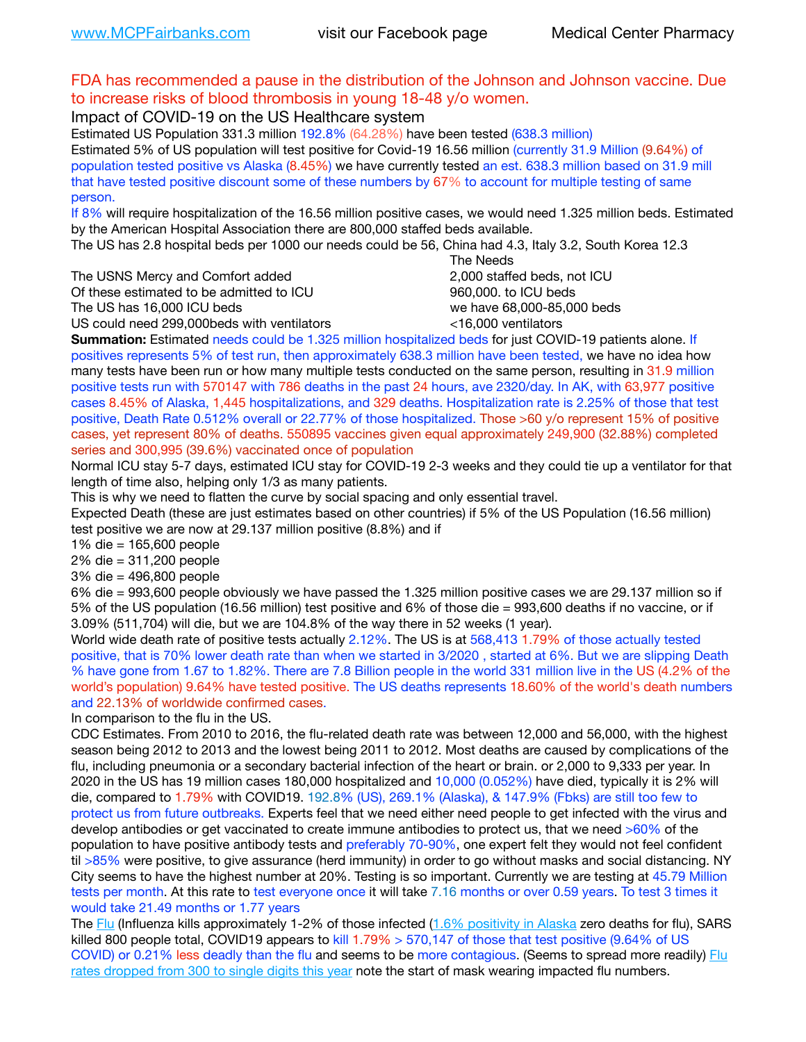### FDA has recommended a pause in the distribution of the Johnson and Johnson vaccine. Due to increase risks of blood thrombosis in young 18-48 y/o women.

Impact of COVID-19 on the US Healthcare system

Estimated US Population 331.3 million 192.8% (64.28%) have been tested (638.3 million) Estimated 5% of US population will test positive for Covid-19 16.56 million (currently 31.9 Million (9.64%) of population tested positive vs Alaska (8.45%) we have currently tested an est. 638.3 million based on 31.9 mill that have tested positive discount some of these numbers by 67% to account for multiple testing of same person.

If 8% will require hospitalization of the 16.56 million positive cases, we would need 1.325 million beds. Estimated by the American Hospital Association there are 800,000 staffed beds available.

The US has 2.8 hospital beds per 1000 our needs could be 56, China had 4.3, Italy 3.2, South Korea 12.3

The USNS Mercy and Comfort added 2,000 staffed beds, not ICU

Of these estimated to be admitted to ICU **860,000**, to ICU beds

 The Needs The US has 16,000 ICU beds we have 68,000-85,000 beds US could need 299,000 beds with ventilators  $\leq$ 16,000 ventilators

**Summation:** Estimated needs could be 1.325 million hospitalized beds for just COVID-19 patients alone. If positives represents 5% of test run, then approximately 638.3 million have been tested, we have no idea how many tests have been run or how many multiple tests conducted on the same person, resulting in 31.9 million positive tests run with 570147 with 786 deaths in the past 24 hours, ave 2320/day. In AK, with 63,977 positive cases 8.45% of Alaska, 1,445 hospitalizations, and 329 deaths. Hospitalization rate is 2.25% of those that test positive, Death Rate 0.512% overall or 22.77% of those hospitalized. Those >60 y/o represent 15% of positive cases, yet represent 80% of deaths. 550895 vaccines given equal approximately 249,900 (32.88%) completed

series and 300,995 (39.6%) vaccinated once of population

Normal ICU stay 5-7 days, estimated ICU stay for COVID-19 2-3 weeks and they could tie up a ventilator for that length of time also, helping only 1/3 as many patients.

This is why we need to flatten the curve by social spacing and only essential travel.

Expected Death (these are just estimates based on other countries) if 5% of the US Population (16.56 million) test positive we are now at 29.137 million positive (8.8%) and if

1% die = 165,600 people

2% die = 311,200 people

3% die = 496,800 people

6% die = 993,600 people obviously we have passed the 1.325 million positive cases we are 29.137 million so if 5% of the US population (16.56 million) test positive and 6% of those die = 993,600 deaths if no vaccine, or if 3.09% (511,704) will die, but we are 104.8% of the way there in 52 weeks (1 year).

World wide death rate of positive tests actually 2.12%. The US is at 568,413 1.79% of those actually tested positive, that is 70% lower death rate than when we started in 3/2020 , started at 6%. But we are slipping Death % have gone from 1.67 to 1.82%. There are 7.8 Billion people in the world 331 million live in the US (4.2% of the world's population) 9.64% have tested positive. The US deaths represents 18.60% of the world's death numbers and 22.13% of worldwide confirmed cases.

In comparison to the flu in the US.

CDC Estimates. From 2010 to 2016, the flu-related death rate was between 12,000 and 56,000, with the highest season being 2012 to 2013 and the lowest being 2011 to 2012. Most deaths are caused by complications of the flu, including pneumonia or a secondary bacterial infection of the heart or brain. or 2,000 to 9,333 per year. In 2020 in the US has 19 million cases 180,000 hospitalized and 10,000 (0.052%) have died, typically it is 2% will die, compared to 1.79% with COVID19. 192.8% (US), 269.1% (Alaska), & 147.9% (Fbks) are still too few to protect us from future outbreaks. Experts feel that we need either need people to get infected with the virus and develop antibodies or get vaccinated to create immune antibodies to protect us, that we need >60% of the population to have positive antibody tests and preferably 70-90%, one expert felt they would not feel confident til >85% were positive, to give assurance (herd immunity) in order to go without masks and social distancing. NY City seems to have the highest number at 20%. Testing is so important. Currently we are testing at 45.79 Million tests per month. At this rate to test everyone once it will take 7.16 months or over 0.59 years. To test 3 times it would take 21.49 months or 1.77 years

The [Flu](https://lnks.gd/l/eyJhbGciOiJIUzI1NiJ9.eyJidWxsZXRpbl9saW5rX2lkIjoxMDMsInVyaSI6ImJwMjpjbGljayIsImJ1bGxldGluX2lkIjoiMjAyMTAyMjYuMzYwNDA3NTEiLCJ1cmwiOiJodHRwczovL3d3dy5jZGMuZ292L2ZsdS93ZWVrbHkvb3ZlcnZpZXcuaHRtIn0.ePMA_hsZ-pTnhWSyg1gHvHWYTu2XceVOt0JejxvP1WE/s/500544915/br/98428119752-l) (Influenza kills approximately 1-2% of those infected ([1.6% positivity in Alaska](http://dhss.alaska.gov/dph/Epi/id/SiteAssets/Pages/influenza/trends/Snapshot.pdf) zero deaths for flu), SARS killed 800 people total, COVID19 appears to kill 1.79%  $> 570,147$  of those that test positive (9.64% of US COVID) or 0.21% less deadly than the flu and seems to be more contagious. (Seems to spread more readily) Flu [rates dropped from 300 to single digits this year](https://lnks.gd/l/eyJhbGciOiJIUzI1NiJ9.eyJidWxsZXRpbl9saW5rX2lkIjoxMDEsInVyaSI6ImJwMjpjbGljayIsImJ1bGxldGluX2lkIjoiMjAyMTAyMjYuMzYwNDA3NTEiLCJ1cmwiOiJodHRwOi8vZGhzcy5hbGFza2EuZ292L2RwaC9FcGkvaWQvUGFnZXMvaW5mbHVlbnphL2ZsdWluZm8uYXNweCJ9.oOe3nt2fww6XpsNhb4FZfmtPfPa-irGaldpkURBJhSo/s/500544915/br/98428119752-l) note the start of mask wearing impacted flu numbers.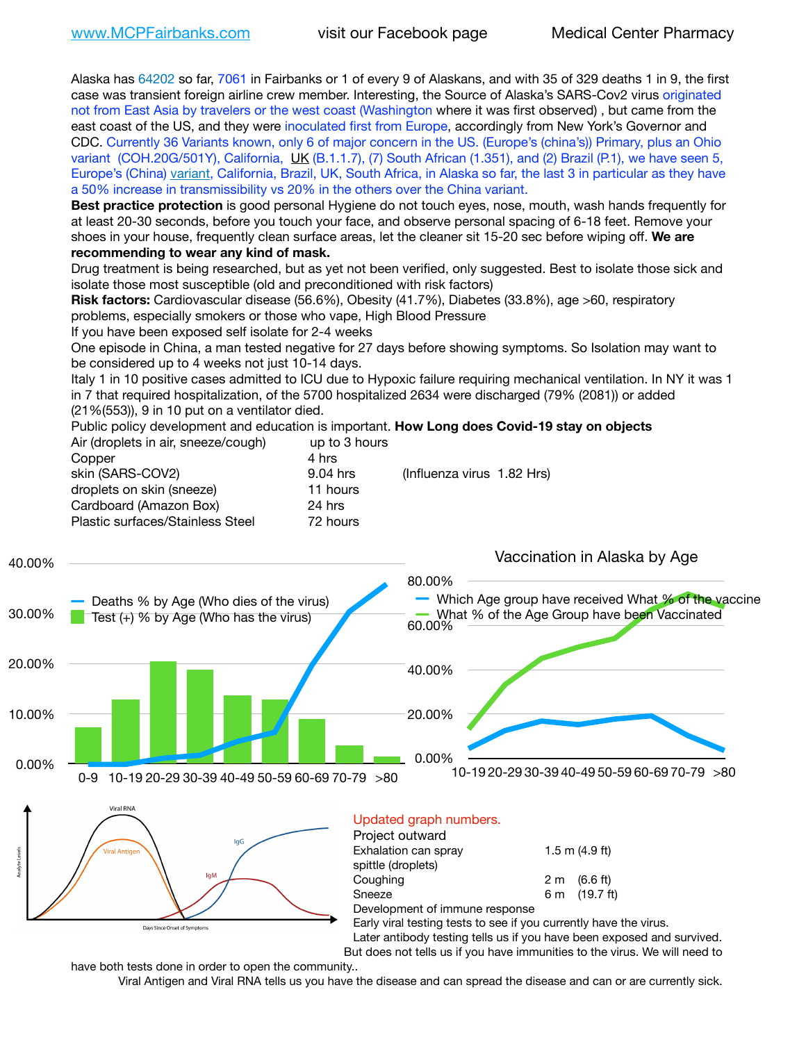Alaska has 64202 so far, 7061 in Fairbanks or 1 of every 9 of Alaskans, and with 35 of 329 deaths 1 in 9, the first case was transient foreign airline crew member. Interesting, the Source of Alaska's SARS-Cov2 virus originated not from East Asia by travelers or the west coast (Washington where it was first observed) , but came from the east coast of the US, and they were inoculated first from Europe, accordingly from New York's Governor and CDC. Currently 36 Variants known, only 6 of major concern in the US. (Europe's (china's)) Primary, plus an Ohio variant (COH.20G/501Y), California, [UK](https://www.cdc.gov/coronavirus/2019-ncov/transmission/variant-cases.html) (B.1.1.7), (7) South African (1.351), and (2) Brazil (P.1), we have seen 5, Europe's (China) [variant,](https://www.webmd.com/lung/news/20210318/cdc-who-create-threat-levels-for-covid-variants?ecd=wnl_cvd_031921&ctr=wnl-cvd-031921&mb=kYbf7DsHb7YGjh/1RUkcAW0T6iorImAU1TDZh18RYs0=_Support_titleLink_2) California, Brazil, UK, South Africa, in Alaska so far, the last 3 in particular as they have a 50% increase in transmissibility vs 20% in the others over the China variant.

**Best practice protection** is good personal Hygiene do not touch eyes, nose, mouth, wash hands frequently for at least 20-30 seconds, before you touch your face, and observe personal spacing of 6-18 feet. Remove your shoes in your house, frequently clean surface areas, let the cleaner sit 15-20 sec before wiping off. **We are recommending to wear any kind of mask.**

Drug treatment is being researched, but as yet not been verified, only suggested. Best to isolate those sick and isolate those most susceptible (old and preconditioned with risk factors)

**Risk factors:** Cardiovascular disease (56.6%), Obesity (41.7%), Diabetes (33.8%), age >60, respiratory problems, especially smokers or those who vape, High Blood Pressure

If you have been exposed self isolate for 2-4 weeks

One episode in China, a man tested negative for 27 days before showing symptoms. So Isolation may want to be considered up to 4 weeks not just 10-14 days.

Italy 1 in 10 positive cases admitted to ICU due to Hypoxic failure requiring mechanical ventilation. In NY it was 1 in 7 that required hospitalization, of the 5700 hospitalized 2634 were discharged (79% (2081)) or added (21%(553)), 9 in 10 put on a ventilator died.

Public policy development and education is important. **How Long does Covid-19 stay on objects** Air (droplets in air, sneeze/cough) up to 3 hours

| 4 hrs<br>Copper                              |                            |
|----------------------------------------------|----------------------------|
| skin (SARS-COV2)<br>9.04 hrs                 | (Influenza virus 1.82 Hrs) |
| droplets on skin (sneeze)<br>11 hours        |                            |
| Cardboard (Amazon Box)<br>24 hrs             |                            |
| Plastic surfaces/Stainless Steel<br>72 hours |                            |
|                                              |                            |



| Project outward                                                            |     |                    |  |
|----------------------------------------------------------------------------|-----|--------------------|--|
| Exhalation can spray                                                       |     | $1.5$ m $(4.9$ ft) |  |
| spittle (droplets)                                                         |     |                    |  |
| Coughing                                                                   | 2 m | (6.6 ft)           |  |
| Sneeze                                                                     | 6 m | (19.7 ft)          |  |
| Development of immune response                                             |     |                    |  |
| Early viral testing tests to see if you currently have the virus.          |     |                    |  |
| Later antibody testing tells us if you have been exposed and survived.     |     |                    |  |
| But does not tells us if you have immunities to the virus. We will need to |     |                    |  |
|                                                                            |     |                    |  |

have both tests done in order to open the community..

Days Since Onset of Symptom

Viral Antigen and Viral RNA tells us you have the disease and can spread the disease and can or are currently sick.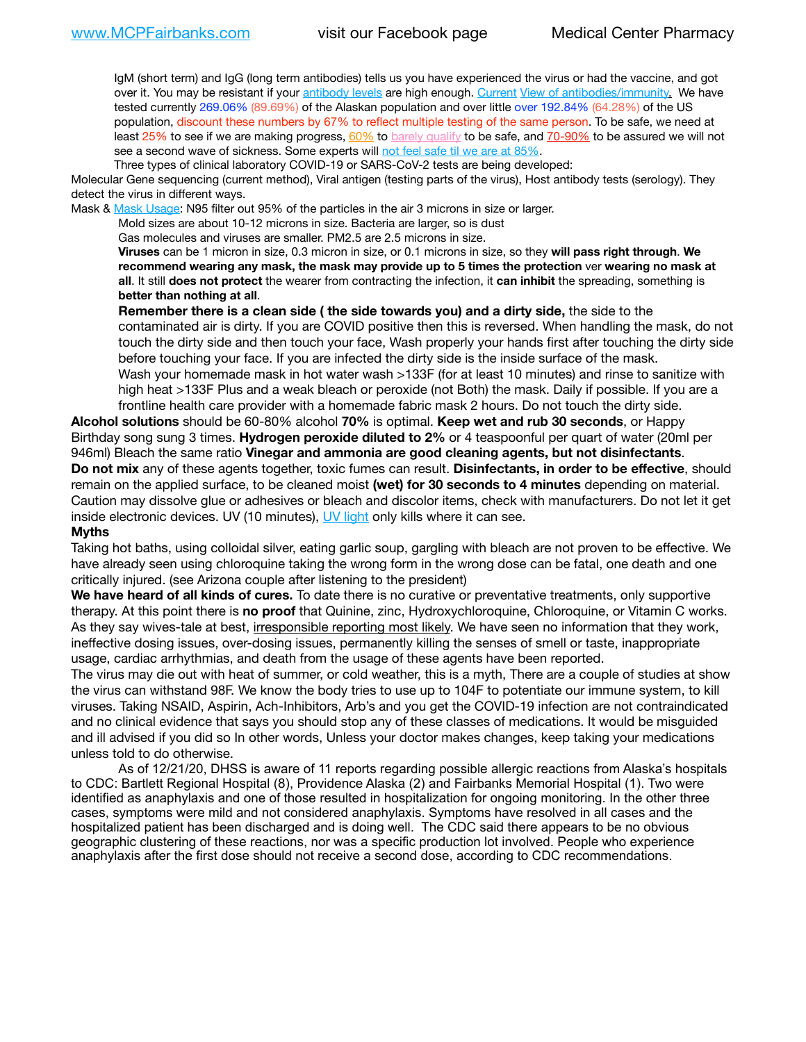IgM (short term) and IgG (long term antibodies) tells us you have experienced the virus or had the vaccine, and got over it. You may be resistant if your [antibody levels](https://www.cdc.gov/coronavirus/2019-ncov/lab/resources/antibody-tests.html) are high enough. [Current](https://l.facebook.com/l.php?u=https://www.itv.com/news/2020-10-26/covid-19-antibody-levels-reduce-over-time-study-finds?fbclid=IwAR3Dapzh1qIH1EIOdUQI2y8THf7jfA4KBCaJz8Qg-8xe1YsrR4nsAHDIXSY&h=AT30nut8pkqp0heVuz5W2rT2WFFm-2Ab52BsJxZZCNlGsX58IpPkuVEPULbIUV_M16MAukx1Kwb657DPXxsgDN1rpOQ4gqBtQsmVYiWpnHPJo2RQsU6CPMd14lgLnQnFWxfVi6zvmw&__tn__=-UK-R&c%5B0%5D=AT1GaRAfR_nGAyqcn7TI1-PpvqOqEKXHnz6TDWvRStMnOSH7boQDvTiwTOc6VId9UES6LKiOmm2m88wKCoolkJyOFvakt2Z1Mw8toYWGGoWW23r0MNVBl7cYJXB_UOvGklNHaNnaNr1_S7NhT3BSykNOBg) [View of antibodies/immunity](https://www.livescience.com/antibodies.html)[.](https://www.itv.com/news/2020-10-26/covid-19-antibody-levels-reduce-over-time-study-finds) We have tested currently 269.06% (89.69%) of the Alaskan population and over little over 192.84% (64.28%) of the US population, discount these numbers by 67% to reflect multiple testing of the same person. To be safe, we need at least 25% to see if we are making progress, [60%](https://www.jhsph.edu/covid-19/articles/achieving-herd-immunity-with-covid19.html) to [barely qualify](https://www.nature.com/articles/d41586-020-02948-4) to be safe, and [70-90%](https://www.mayoclinic.org/herd-immunity-and-coronavirus/art-20486808) to be assured we will not see a second wave of sickness. Some experts will [not feel safe til we are at 85%.](https://www.bannerhealth.com/healthcareblog/teach-me/what-is-herd-immunity)

Three types of clinical laboratory COVID-19 or SARS-CoV-2 tests are being developed:

Molecular Gene sequencing (current method), Viral antigen (testing parts of the virus), Host antibody tests (serology). They detect the virus in different ways.

Mask & [Mask Usage:](https://www.nationalgeographic.com/history/2020/03/how-cities-flattened-curve-1918-spanish-flu-pandemic-coronavirus/) N95 filter out 95% of the particles in the air 3 microns in size or larger.

Mold sizes are about 10-12 microns in size. Bacteria are larger, so is dust

Gas molecules and viruses are smaller. PM2.5 are 2.5 microns in size.

**Viruses** can be 1 micron in size, 0.3 micron in size, or 0.1 microns in size, so they **will pass right through**. **We recommend wearing any mask, the mask may provide up to 5 times the protection** ver **wearing no mask at all**. It still **does not protect** the wearer from contracting the infection, it **can inhibit** the spreading, something is **better than nothing at all**.

**Remember there is a clean side ( the side towards you) and a dirty side,** the side to the contaminated air is dirty. If you are COVID positive then this is reversed. When handling the mask, do not touch the dirty side and then touch your face, Wash properly your hands first after touching the dirty side before touching your face. If you are infected the dirty side is the inside surface of the mask. Wash your homemade mask in hot water wash >133F (for at least 10 minutes) and rinse to sanitize with high heat >133F Plus and a weak bleach or peroxide (not Both) the mask. Daily if possible. If you are a frontline health care provider with a homemade fabric mask 2 hours. Do not touch the dirty side.

**Alcohol solutions** should be 60-80% alcohol **70%** is optimal. **Keep wet and rub 30 seconds**, or Happy Birthday song sung 3 times. **Hydrogen peroxide diluted to 2%** or 4 teaspoonful per quart of water (20ml per 946ml) Bleach the same ratio **Vinegar and ammonia are good cleaning agents, but not disinfectants**. **Do not mix** any of these agents together, toxic fumes can result. **Disinfectants, in order to be effective**, should remain on the applied surface, to be cleaned moist **(wet) for 30 seconds to 4 minutes** depending on material. Caution may dissolve glue or adhesives or bleach and discolor items, check with manufacturers. Do not let it get inside electronic devices. UV (10 minutes), [UV light](http://www.docreviews.me/best-uv-boxes-2020/?fbclid=IwAR3bvFtXB48OoBBSvYvTEnKuHNPbipxM6jUo82QUSw9wckxjC7wwRZWabGw) only kills where it can see.

#### **Myths**

Taking hot baths, using colloidal silver, eating garlic soup, gargling with bleach are not proven to be effective. We have already seen using chloroquine taking the wrong form in the wrong dose can be fatal, one death and one critically injured. (see Arizona couple after listening to the president)

**We have heard of all kinds of cures.** To date there is no curative or preventative treatments, only supportive therapy. At this point there is **no proof** that Quinine, zinc, Hydroxychloroquine, Chloroquine, or Vitamin C works. As they say wives-tale at best, irresponsible reporting most likely. We have seen no information that they work, ineffective dosing issues, over-dosing issues, permanently killing the senses of smell or taste, inappropriate usage, cardiac arrhythmias, and death from the usage of these agents have been reported.

The virus may die out with heat of summer, or cold weather, this is a myth, There are a couple of studies at show the virus can withstand 98F. We know the body tries to use up to 104F to potentiate our immune system, to kill viruses. Taking NSAID, Aspirin, Ach-Inhibitors, Arb's and you get the COVID-19 infection are not contraindicated and no clinical evidence that says you should stop any of these classes of medications. It would be misguided and ill advised if you did so In other words, Unless your doctor makes changes, keep taking your medications unless told to do otherwise.

As of 12/21/20, DHSS is aware of 11 reports regarding possible allergic reactions from Alaska's hospitals to CDC: Bartlett Regional Hospital (8), Providence Alaska (2) and Fairbanks Memorial Hospital (1). Two were identified as anaphylaxis and one of those resulted in hospitalization for ongoing monitoring. In the other three cases, symptoms were mild and not considered anaphylaxis. Symptoms have resolved in all cases and the hospitalized patient has been discharged and is doing well. The CDC said there appears to be no obvious geographic clustering of these reactions, nor was a specific production lot involved. People who experience anaphylaxis after the first dose should not receive a second dose, according to CDC recommendations.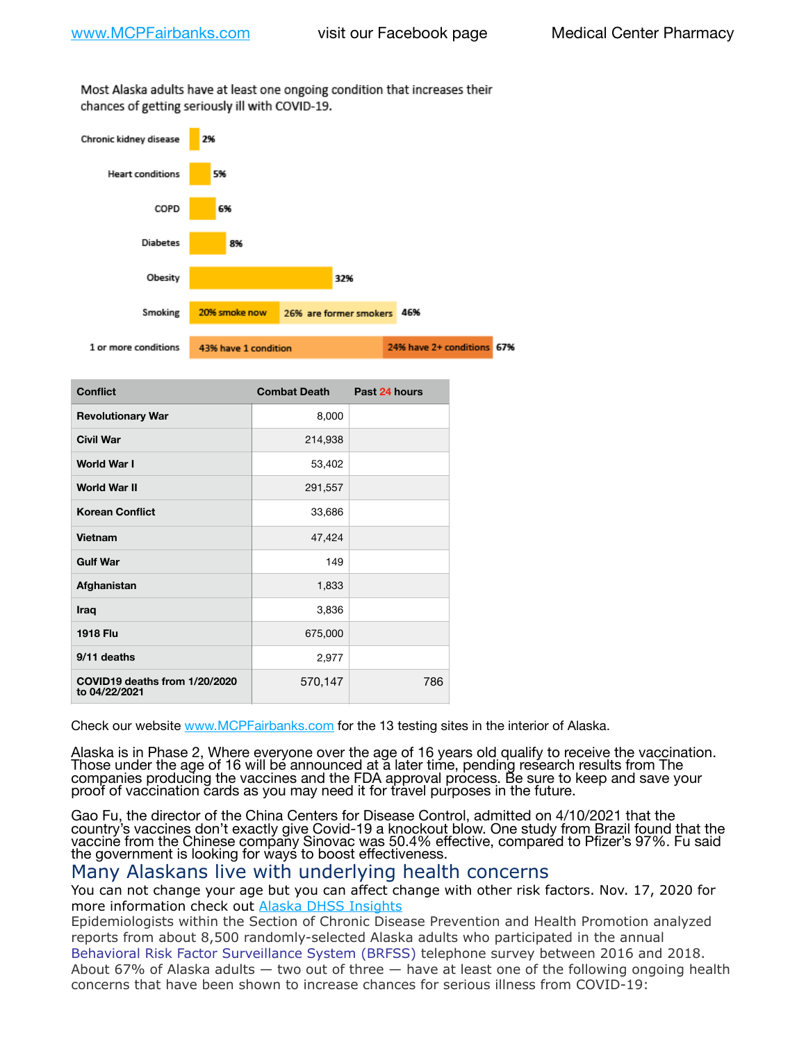Most Alaska adults have at least one ongoing condition that increases their chances of getting seriously ill with COVID-19.



| <b>Conflict</b>                                | <b>Combat Death</b> | Past 24 hours |
|------------------------------------------------|---------------------|---------------|
| <b>Revolutionary War</b>                       | 8,000               |               |
| <b>Civil War</b>                               | 214,938             |               |
| World War I                                    | 53,402              |               |
| <b>World War II</b>                            | 291,557             |               |
| <b>Korean Conflict</b>                         | 33,686              |               |
| Vietnam                                        | 47,424              |               |
| <b>Gulf War</b>                                | 149                 |               |
| Afghanistan                                    | 1,833               |               |
| Iraq                                           | 3,836               |               |
| <b>1918 Flu</b>                                | 675,000             |               |
| 9/11 deaths                                    | 2,977               |               |
| COVID19 deaths from 1/20/2020<br>to 04/22/2021 | 570,147             | 786           |

Check our website [www.MCPFairbanks.com](http://www.MCPFairbanks.com) for the 13 testing sites in the interior of Alaska.

Alaska is in Phase 2, Where everyone over the age of 16 years old qualify to receive the vaccination. Those under the age of 16 will be announced at a later time, pending research results from The companies producing the vaccines and the FDA approval process. Be sure to keep and save your proof of vaccination cards as you may need it for travel purposes in the future.

Gao Fu, the director of the China Centers for Disease Control, admitted on 4/10/2021 that the country's vaccines don't exactly give Covid-19 a knockout blow. One study from Brazil found that the vaccine from the Chinese company Sinovac was 50.4% effective, compared to Pfizer's 97%. Fu said the government is looking for ways to boost effectiveness.

## Many Alaskans live with underlying health concerns

You can not change your age but you can affect change with other risk factors. Nov. 17, 2020 for more information check out [Alaska DHSS Insights](http://dhss.alaska.gov/dph/Epi/id/Pages/COVID-19/blog/20201117.aspx)

Epidemiologists within the Section of Chronic Disease Prevention and Health Promotion analyzed reports from about 8,500 randomly-selected Alaska adults who participated in the annual [Behavioral Risk Factor Surveillance System \(BRFSS\)](http://dhss.alaska.gov/dph/Chronic/Pages/brfss/default.aspx) telephone survey between 2016 and 2018. About 67% of Alaska adults — two out of three — have at least one of the following ongoing health concerns that have been shown to increase chances for serious illness from COVID-19: